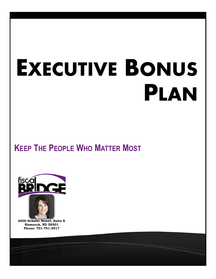# **EXECUTIVE BONUS PLAN**

## **KEEP THE PEOPLE WHO MATTER MOST**



**2000 Schafer Street, Suite E Bismarck, ND 58501 Phone: 701-751-3917**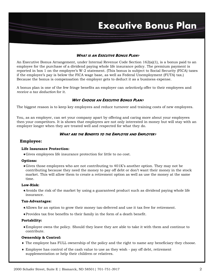

#### **WHAT IS AN EXECUTIVE BONUS PLAN?**

An Executive Bonus Arrangement, under Internal Revenue Code Section 162(a)(1), is a bonus paid to an employee for the purchase of a dividend paying whole life insurance policy. The premium payment is reported in box 1 on the employee's W-2 statement. (This bonus is subject to Social Security (FICA) taxes if the employee's pay is below the FICA wage base, as well as Federal Unemployment (FUTA) tax.) Because the bonus is compensation the employer gets to deduct it as a business expense.

A bonus plan is one of the few fringe benefits an employer can *selectively* offer to their employees and *receive a tax deduction* for it.

#### **WHY CHOOSE AN EXECUTIVE BONUS PLAN?**

The biggest reason is to keep key employees and reduce turnover and training costs of new employees.

You, as an employer, can set your company apart by offering and caring more about your employees then your competitors. It is shown that employees are not only interested in money but will stay with an employer longer when they are treated well and respected for what they do.

#### **WHAT ARE THE BENEFITS TO THE EMPLOYEE AND EMPLOYER?**

#### **Employee:**

#### **Life Insurance Protection:**

Gives employees life insurance protection for little to no cost.

#### **Options:**

Gives those employees who are not contributing to 401K's another option. They may not be contributing because they need the money to pay off debt or don't want their money in the stock market. This will allow them to create a retirement option as well as use the money at the same time.

#### **Low-Risk:**

Avoids the risk of the market by using a guaranteed product such as dividend paying whole life insurance.

#### **Tax-Advantages:**

- Allows for an option to grow their money tax-deferred and use it tax free for retirement.
- Provides tax free benefits to their family in the form of a death benefit.

#### **Portability:**

Employee owns the policy. Should they leave they are able to take it with them and continue to contribute.

#### **Ownership & Control:**

- The employee has FULL ownership of the policy and the right to name any beneficiary they choose.
- Employee has control of the cash value to use as they wish pay off debt, retirement supplementation or help their children or relatives.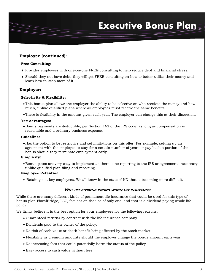## **Executive Bonus Plan**

#### **Employee (continued):**

#### **Free Consulting:**

- Provides employees with one-on-one FREE consulting to help reduce debt and financial stress.
- Should they not have debt, they will get FREE consulting on how to better utilize their money and learn how to keep more of it.

#### **Employer:**

#### **Selectivity & Flexibility:**

- This bonus plan allows the employer the ability to be selective on who receives the money and how much, unlike qualified plans where all employees must receive the same benefits.
- There is flexibility in the amount given each year. The employer can change this at their discretion.

#### **Tax Advantages:**

Bonus payments are deductible, per Section 162 of the IRS code, as long as compensation is reasonable and a ordinary business expense.

#### **Guidelines:**

Has the option to be restrictive and set limitations on this offer. For example, setting up an agreement with the employee to stay for a certain number of years or pay back a portion of the bonus should they terminate employment early.

#### **Simplicity:**

Bonus plans are very easy to implement as there is no reporting to the IRS or agreements necessary unlike qualified plan filing and reporting.

#### **Employee Retention:**

Retain good, key employees. We all know in the state of ND that is becoming more difficult.

#### **WHY USE DIVIDEND PAYING WHOLE LIFE INSURANCE?**

While there are many different kinds of permanent life insurance that could be used for this type of bonus plan FiscalBridge, LLC, focuses on the use of only one, and that is a dividend paying whole life policy.

We firmly believe it is the best option for your employees for the following reasons:

- Guaranteed returns by contract with the life insurance company.
- Dividends paid to the owner of the policy.
- No risk of cash value or death benefit being affected by the stock market.
- Flexibility in premium amounts should the employer change the bonus amount each year.
- No increasing fees that could potentially harm the status of the policy
- Easy access to cash value without fees.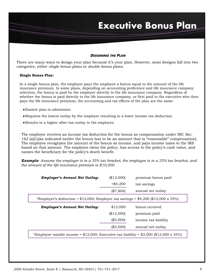

#### **DESIGNING THE PLAN**

There are many ways to design your plan because it's your plan. However, most designs fall into two categories, either *single bonus plans* or *double bonus plans.* 

#### **Single Bonus Plan:**

In a single-bonus plan, the employer pays the employee a bonus equal to the amount of the life insurance premium. In some plans, depending on accounting preference and life insurance company selection, the bonus is paid by the employer directly to the life insurance company. Regardless of whether the bonus is paid directly to the life insurance company, or first paid to the executive who then pays the life insurance premium, the accounting and tax effects of the plan are the same.

- Easiest plan to administer.
- Requires the lowest outlay by the employer resulting in a lower income tax deduction.
- Results in a higher after-tax outlay to the employee.

The employer receives an income tax deduction for the bonus as compensation under IRC Sec. 162 (a)(1)(as indicated earlier the bonus has to be an amount that is "reasonable" compensation). The employee recognizes the amount of the bonus as income, and pays income taxes to the IRS based on that amount. The employee owns the policy, has access to the policy's cash value, and names the beneficiary for the policy's death benefit.

*Example: Assume the employer is in a 35% tax bracket, the employee is in a 25% tax bracket, and the amount of the life insurance premium is \$10,000.* 

| <b>Employer's Annual Net Outlay:</b>                                                    | (\$12,000) | premium bonus paid   |  |
|-----------------------------------------------------------------------------------------|------------|----------------------|--|
|                                                                                         | $+ $4,200$ | tax savings          |  |
|                                                                                         | (\$7,800)  | annual net outlay    |  |
| *Employer's deduction = \$12,000; Employer tax savings = \$4,200 (\$12,000 x 35%)       |            |                      |  |
| <b>Employee's Annual Net Outlay:</b>                                                    | \$12,000   | bonus received       |  |
|                                                                                         | (\$12,000) | premium paid         |  |
|                                                                                         | (\$3,000)  | income tax liability |  |
|                                                                                         | (\$3,000)  | annual net outlay    |  |
| *Employee taxable income = \$12,000; Executive tax liability = \$3,000 (\$12,000 x 25%) |            |                      |  |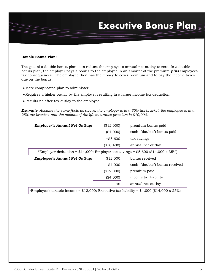

#### **Double Bonus Plan:**

The goal of a double bonus plan is to reduce the employee's annual net outlay to zero. In a double bonus plan, the employer pays a bonus to the employee in an amount of the premium *plus* employees tax consequences. The employee then has the money to cover premium and to pay the income taxes due on the bonus.

- More complicated plan to administer.
- Requires a higher outlay by the employer resulting in a larger income tax deduction.
- Results no after-tax outlay to the employee.

*Example: Assume the same facts as above: the employer is in a 35% tax bracket, the employee is in a 25% tax bracket, and the amount of the life insurance premium is \$10,000.* 

| <b>Employer's Annual Net Outlay:</b>                                                         | (\$12,000) | premium bonus paid             |  |
|----------------------------------------------------------------------------------------------|------------|--------------------------------|--|
|                                                                                              | (\$4,000)  | cash ("double") bonus paid     |  |
|                                                                                              | $+ $5,600$ | tax savings                    |  |
|                                                                                              | (\$10,400) | annual net outlay              |  |
| *Employer deduction = $$14,000$ ; Employer tax savings = $$5,600$ (\$14,000 x 35%)           |            |                                |  |
| <b>Employee's Annual Net Outlay:</b>                                                         | \$12,000   | bonus received                 |  |
|                                                                                              | \$4,000    | cash ("double") bonus received |  |
|                                                                                              | (\$12,000) | premium paid                   |  |
|                                                                                              | (\$4,000)  | income tax liability           |  |
|                                                                                              | \$0        | annual net outlay              |  |
| *Employee's taxable income = $$12,000$ ; Executive tax liability = $$4,000$ (\$14,000 x 25%) |            |                                |  |